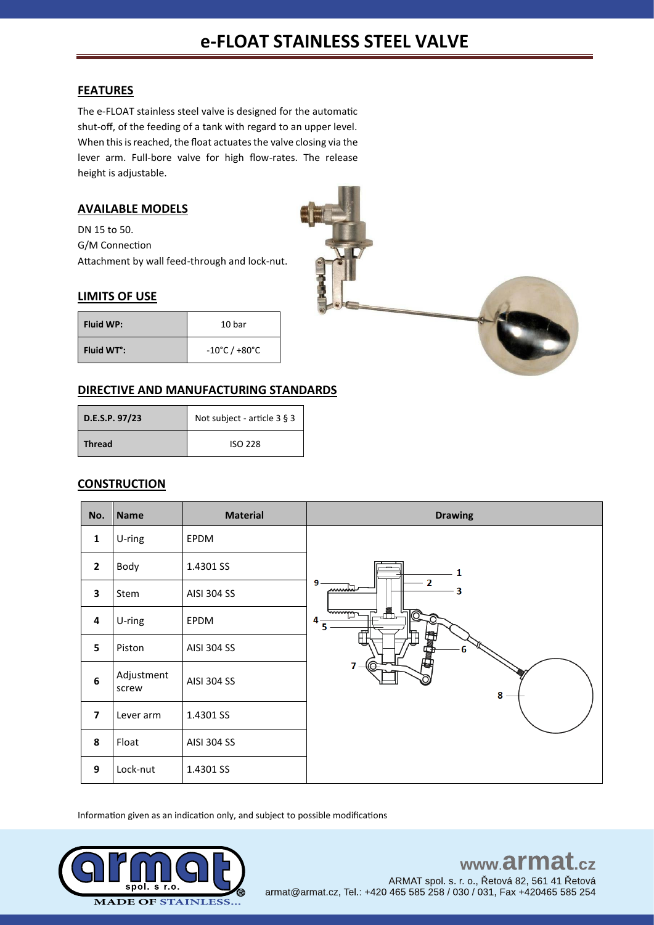# **FEATURES**

The e-FLOAT stainless steel valve is designed for the automatic shut-off, of the feeding of a tank with regard to an upper level. When this is reached, the float actuates the valve closing via the lever arm. Full-bore valve for high flow-rates. The release height is adjustable.

# **AVAILABLE MODELS**

DN 15 to 50. G/M Connection Attachment by wall feed-through and lock-nut.

## **LIMITS OF USE**

| <b>Fluid WP:</b>        | 10 bar                             |  |  |  |
|-------------------------|------------------------------------|--|--|--|
| Fluid WT <sup>o</sup> : | $-10^{\circ}$ C / +80 $^{\circ}$ C |  |  |  |

# **DIRECTIVE AND MANUFACTURING STANDARDS**

| D.E.S.P. 97/23 | Not subject - article $3 \S 3$ |  |  |  |  |
|----------------|--------------------------------|--|--|--|--|
| Thread         | <b>ISO 228</b>                 |  |  |  |  |

# **CONSTRUCTION**

| No.                     | <b>Name</b>         | <b>Material</b> | <b>Drawing</b>                                     |  |  |  |  |  |
|-------------------------|---------------------|-----------------|----------------------------------------------------|--|--|--|--|--|
| $\mathbf{1}$            | U-ring              | EPDM            |                                                    |  |  |  |  |  |
| $\overline{2}$          | Body                | 1.4301 SS       |                                                    |  |  |  |  |  |
| 3                       | Stem                | AISI 304 SS     | $\overline{2}$<br>9<br>3<br>nnnnhal                |  |  |  |  |  |
| 4                       | U-ring              | EPDM            | <b><i><u>physical</u></i></b><br>$\mathbf{4}$<br>5 |  |  |  |  |  |
| 5                       | Piston              | AISI 304 SS     | f<br>6                                             |  |  |  |  |  |
| $\boldsymbol{6}$        | Adjustment<br>screw | AISI 304 SS     | 8                                                  |  |  |  |  |  |
| $\overline{\mathbf{z}}$ | Lever arm           | 1.4301 SS       |                                                    |  |  |  |  |  |
| 8                       | Float               | AISI 304 SS     |                                                    |  |  |  |  |  |
| 9                       | Lock-nut            | 1.4301 SS       |                                                    |  |  |  |  |  |

Information given as an indication only, and subject to possible modifications



### www.armat.  $c\overline{z}$ ARMAT spol. s. r. o., Řetová 82, 561 41 Řetová

armat@armat.cz, Tel.: +420 465 585 258 / 030 / 031, Fax +420465 585 254